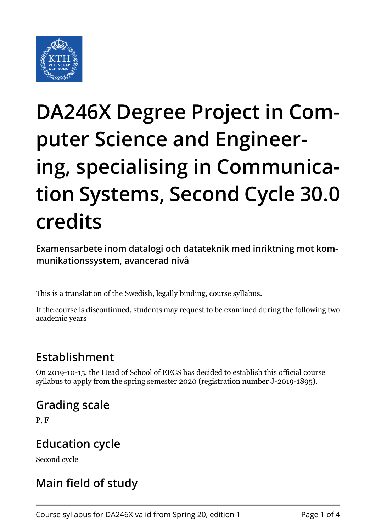

# **DA246X Degree Project in Computer Science and Engineering, specialising in Communication Systems, Second Cycle 30.0 credits**

**Examensarbete inom datalogi och datateknik med inriktning mot kommunikationssystem, avancerad nivå**

This is a translation of the Swedish, legally binding, course syllabus.

If the course is discontinued, students may request to be examined during the following two academic years

# **Establishment**

On 2019-10-15, the Head of School of EECS has decided to establish this official course syllabus to apply from the spring semester 2020 (registration number J-2019-1895).

# **Grading scale**

P, F

## **Education cycle**

Second cycle

# **Main field of study**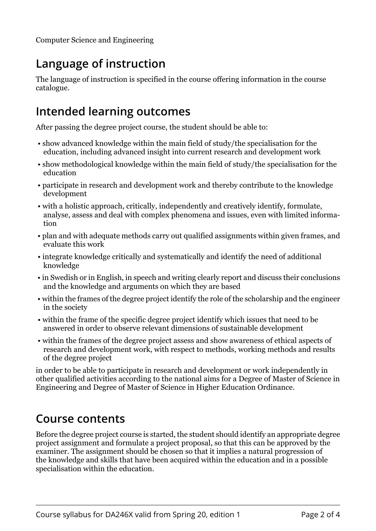# **Language of instruction**

The language of instruction is specified in the course offering information in the course catalogue.

#### **Intended learning outcomes**

After passing the degree project course, the student should be able to:

- show advanced knowledge within the main field of study/the specialisation for the education, including advanced insight into current research and development work
- show methodological knowledge within the main field of study/the specialisation for the education
- participate in research and development work and thereby contribute to the knowledge development
- with a holistic approach, critically, independently and creatively identify, formulate, analyse, assess and deal with complex phenomena and issues, even with limited information
- plan and with adequate methods carry out qualified assignments within given frames, and evaluate this work
- integrate knowledge critically and systematically and identify the need of additional knowledge
- in Swedish or in English, in speech and writing clearly report and discuss their conclusions and the knowledge and arguments on which they are based
- within the frames of the degree project identify the role of the scholarship and the engineer in the society
- within the frame of the specific degree project identify which issues that need to be answered in order to observe relevant dimensions of sustainable development
- within the frames of the degree project assess and show awareness of ethical aspects of research and development work, with respect to methods, working methods and results of the degree project

in order to be able to participate in research and development or work independently in other qualified activities according to the national aims for a Degree of Master of Science in Engineering and Degree of Master of Science in Higher Education Ordinance.

#### **Course contents**

Before the degree project course is started, the student should identify an appropriate degree project assignment and formulate a project proposal, so that this can be approved by the examiner. The assignment should be chosen so that it implies a natural progression of the knowledge and skills that have been acquired within the education and in a possible specialisation within the education.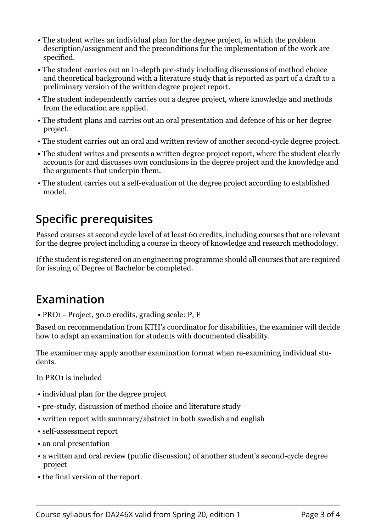- The student writes an individual plan for the degree project, in which the problem description/assignment and the preconditions for the implementation of the work are specified.
- The student carries out an in-depth pre-study including discussions of method choice and theoretical background with a literature study that is reported as part of a draft to a preliminary version of the written degree project report.
- The student independently carries out a degree project, where knowledge and methods from the education are applied.
- The student plans and carries out an oral presentation and defence of his or her degree project.
- The student carries out an oral and written review of another second-cycle degree project.
- The student writes and presents a written degree project report, where the student clearly accounts for and discusses own conclusions in the degree project and the knowledge and the arguments that underpin them.
- The student carries out a self-evaluation of the degree project according to established model.

# **Specific prerequisites**

Passed courses at second cycle level of at least 60 credits, including courses that are relevant for the degree project including a course in theory of knowledge and research methodology.

If the student is registered on an engineering programme should all courses that are required for issuing of Degree of Bachelor be completed.

## **Examination**

• PRO1 - Project, 30.0 credits, grading scale: P, F

Based on recommendation from KTH's coordinator for disabilities, the examiner will decide how to adapt an examination for students with documented disability.

The examiner may apply another examination format when re-examining individual students.

In PRO1 is included

- individual plan for the degree project
- pre-study, discussion of method choice and literature study
- written report with summary/abstract in both swedish and english
- self-assessment report
- an oral presentation
- a written and oral review (public discussion) of another student's second-cycle degree project
- the final version of the report.